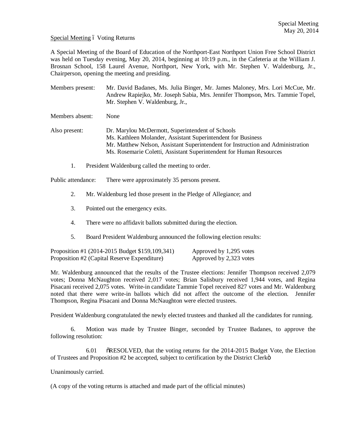Special Meeting 6 Voting Returns

A Special Meeting of the Board of Education of the Northport-East Northport Union Free School District was held on Tuesday evening, May 20, 2014, beginning at 10:19 p.m., in the Cafeteria at the William J. Brosnan School, 158 Laurel Avenue, Northport, New York, with Mr. Stephen V. Waldenburg, Jr., Chairperson, opening the meeting and presiding.

Members present: Mr. David Badanes, Ms. Julia Binger, Mr. James Maloney, Mrs. Lori McCue, Mr. Andrew Rapiejko, Mr. Joseph Sabia, Mrs. Jennifer Thompson, Mrs. Tammie Topel, Mr. Stephen V. Waldenburg, Jr.,

Members absent: None

Also present: Dr. Marylou McDermott, Superintendent of Schools Ms. Kathleen Molander, Assistant Superintendent for Business Mr. Matthew Nelson, Assistant Superintendent for Instruction and Administration Ms. Rosemarie Coletti, Assistant Superintendent for Human Resources

1. President Waldenburg called the meeting to order.

Public attendance: There were approximately 35 persons present.

- 2. Mr. Waldenburg led those present in the Pledge of Allegiance; and
- 3. Pointed out the emergency exits.
- 4. There were no affidavit ballots submitted during the election.
- 5. Board President Waldenburg announced the following election results:

| Proposition #1 (2014-2015 Budget \$159,109,341) | Approved by 1,295 votes |
|-------------------------------------------------|-------------------------|
| Proposition #2 (Capital Reserve Expenditure)    | Approved by 2,323 votes |

Mr. Waldenburg announced that the results of the Trustee elections: Jennifer Thompson received 2,079 votes; Donna McNaughton received 2,017 votes; Brian Salisbury received 1,944 votes, and Regina Pisacani received 2,075 votes. Write-in candidate Tammie Topel received 827 votes and Mr. Waldenburg noted that there were write-in ballots which did not affect the outcome of the election. Jennifer Thompson, Regina Pisacani and Donna McNaughton were elected trustees.

President Waldenburg congratulated the newly elected trustees and thanked all the candidates for running.

6. Motion was made by Trustee Binger, seconded by Trustee Badanes, to approve the following resolution:

6.01 "RESOLVED, that the voting returns for the 2014-2015 Budget Vote, the Election of Trustees and Proposition #2 be accepted, subject to certification by the District Clerk"

Unanimously carried.

(A copy of the voting returns is attached and made part of the official minutes)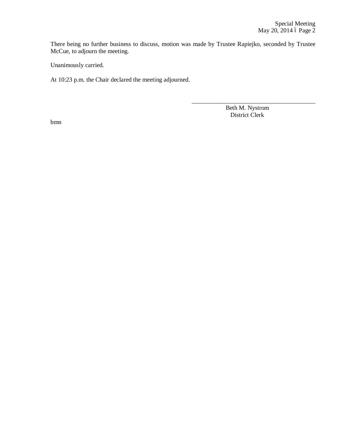There being no further business to discuss, motion was made by Trustee Rapiejko, seconded by Trustee McCue, to adjourn the meeting.

Unanimously carried.

At 10:23 p.m. the Chair declared the meeting adjourned.

 Beth M. Nystrom District Clerk

\_\_\_\_\_\_\_\_\_\_\_\_\_\_\_\_\_\_\_\_\_\_\_\_\_\_\_\_\_\_\_\_\_\_\_\_\_\_\_\_

bmn